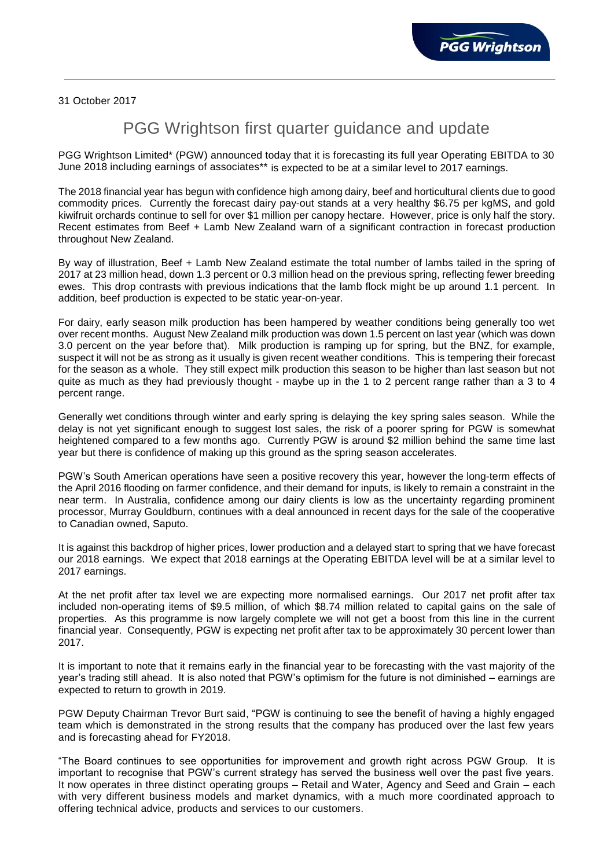31 October 2017

# PGG Wrightson first quarter guidance and update

PGG Wrightson Limited\* (PGW) announced today that it is forecasting its full year Operating EBITDA to 30 June 2018 including earnings of associates\*\* is expected to be at a similar level to 2017 earnings.

The 2018 financial year has begun with confidence high among dairy, beef and horticultural clients due to good commodity prices. Currently the forecast dairy pay-out stands at a very healthy \$6.75 per kgMS, and gold kiwifruit orchards continue to sell for over \$1 million per canopy hectare. However, price is only half the story. Recent estimates from Beef + Lamb New Zealand warn of a significant contraction in forecast production throughout New Zealand.

By way of illustration, Beef + Lamb New Zealand estimate the total number of lambs tailed in the spring of 2017 at 23 million head, down 1.3 percent or 0.3 million head on the previous spring, reflecting fewer breeding ewes. This drop contrasts with previous indications that the lamb flock might be up around 1.1 percent. In addition, beef production is expected to be static year-on-year.

For dairy, early season milk production has been hampered by weather conditions being generally too wet over recent months. August New Zealand milk production was down 1.5 percent on last year (which was down 3.0 percent on the year before that). Milk production is ramping up for spring, but the BNZ, for example, suspect it will not be as strong as it usually is given recent weather conditions. This is tempering their forecast for the season as a whole. They still expect milk production this season to be higher than last season but not quite as much as they had previously thought - maybe up in the 1 to 2 percent range rather than a 3 to 4 percent range.

Generally wet conditions through winter and early spring is delaying the key spring sales season. While the delay is not yet significant enough to suggest lost sales, the risk of a poorer spring for PGW is somewhat heightened compared to a few months ago. Currently PGW is around \$2 million behind the same time last year but there is confidence of making up this ground as the spring season accelerates.

PGW's South American operations have seen a positive recovery this year, however the long-term effects of the April 2016 flooding on farmer confidence, and their demand for inputs, is likely to remain a constraint in the near term. In Australia, confidence among our dairy clients is low as the uncertainty regarding prominent processor, Murray Gouldburn, continues with a deal announced in recent days for the sale of the cooperative to Canadian owned, Saputo.

It is against this backdrop of higher prices, lower production and a delayed start to spring that we have forecast our 2018 earnings. We expect that 2018 earnings at the Operating EBITDA level will be at a similar level to 2017 earnings.

At the net profit after tax level we are expecting more normalised earnings. Our 2017 net profit after tax included non-operating items of \$9.5 million, of which \$8.74 million related to capital gains on the sale of properties. As this programme is now largely complete we will not get a boost from this line in the current financial year. Consequently, PGW is expecting net profit after tax to be approximately 30 percent lower than 2017.

It is important to note that it remains early in the financial year to be forecasting with the vast majority of the year's trading still ahead. It is also noted that PGW's optimism for the future is not diminished – earnings are expected to return to growth in 2019.

PGW Deputy Chairman Trevor Burt said, "PGW is continuing to see the benefit of having a highly engaged team which is demonstrated in the strong results that the company has produced over the last few years and is forecasting ahead for FY2018.

"The Board continues to see opportunities for improvement and growth right across PGW Group. It is important to recognise that PGW's current strategy has served the business well over the past five years. It now operates in three distinct operating groups – Retail and Water, Agency and Seed and Grain – each with very different business models and market dynamics, with a much more coordinated approach to offering technical advice, products and services to our customers.